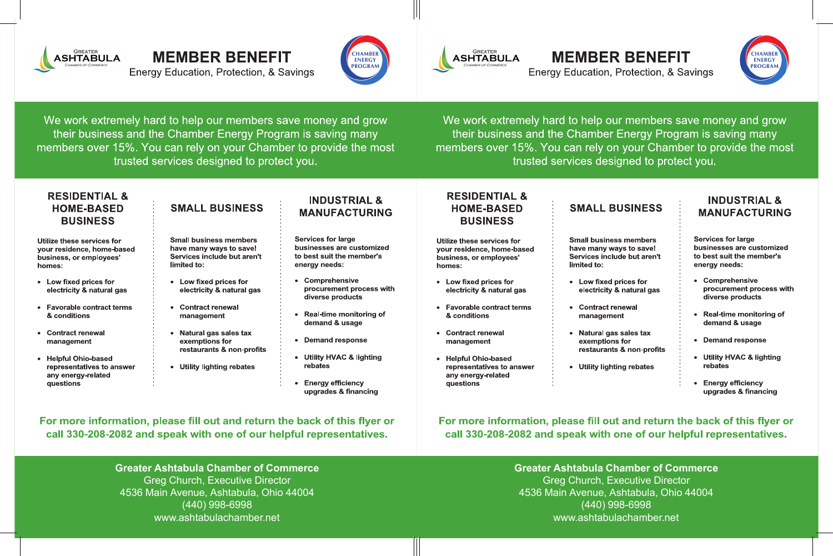

# **MEMBER BENEFIT**

**Energy Education, Protection, & Savings** 



We work extremely hard to help our members save money and grow their business and the Chamber Energy Program is saving many members over 15%. You can rely on your Chamber to provide the most trusted services designed to protect you.

### **RESIDENTIAL & HOME-BASED BUSINESS**

Utilize these services for your residence, home-based business, or employees' homes:

- Low fixed prices for electricity & natural gas
- **Favorable contract terms** & conditions
- Contract renewal management
- Helpful Ohio-based representatives to answer any energy-related questions

## **SMALL BUSINESS**

**Small business members** have many ways to save! Services include but aren't limited to:

- Low fixed prices for electricity & natural gas
- Contract renewal management
- Natural gas sales tax exemptions for restaurants & non-profits
- **Utility lighting rebates**

#### **INDUSTRIAL & MANUFACTURING**

**Services for large** businesses are customized to best suit the member's energy needs:

- Comprehensive procurement process with diverse products
- Real-time monitoring of demand & usage
- Demand response
- Utility HVAC & lighting rebates
- Energy efficiency upgrades & financing

### For more information, please fill out and return the back of this flyer or call 330-208-2082 and speak with one of our helpful representatives.

**Greater Ashtabula Chamber of Commerce Greg Church, Executive Director** 4536 Main Avenue, Ashtabula, Ohio 44004 (440) 998-6998 www.ashtabulachamber.net